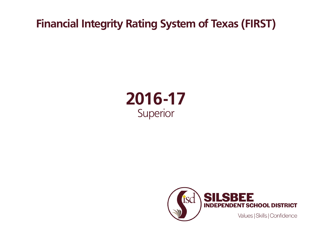## **Financial Integrity Rating System of Texas (FIRST)**



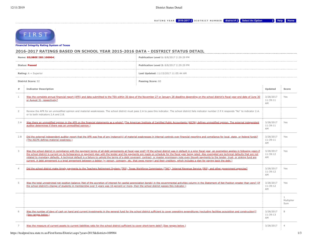RATING YEAR 2016-2017 + DISTRICT NUMBER district # + Select An Option + Help Home



**[Financial Integrity Rating Syste](https://tealprod.tea.state.tx.us/First/forms/Main.aspx)m of Texas**

## **2016-2017 RATINGS BASED ON SCHOOL YEAR 2015-2016 DATA - DISTRICT STATUS DETAIL**

| Name: SILSBEE ISD(100904)     |                                                                                                                                                                                                                                                                                                                                                                                                                                                                                                                                                                                                                                                                                                                                                                                                                                 | Publication Level 1: 8/8/2017 2:29:29 PM                                                                                                                                                                   |                             |                                   |  |
|-------------------------------|---------------------------------------------------------------------------------------------------------------------------------------------------------------------------------------------------------------------------------------------------------------------------------------------------------------------------------------------------------------------------------------------------------------------------------------------------------------------------------------------------------------------------------------------------------------------------------------------------------------------------------------------------------------------------------------------------------------------------------------------------------------------------------------------------------------------------------|------------------------------------------------------------------------------------------------------------------------------------------------------------------------------------------------------------|-----------------------------|-----------------------------------|--|
| <b>Status: Passed</b>         |                                                                                                                                                                                                                                                                                                                                                                                                                                                                                                                                                                                                                                                                                                                                                                                                                                 | Publication Level 2: 8/8/2017 2:29:29 PM                                                                                                                                                                   |                             |                                   |  |
| <b>Rating:</b> $A =$ Superior |                                                                                                                                                                                                                                                                                                                                                                                                                                                                                                                                                                                                                                                                                                                                                                                                                                 | Last Updated: 11/15/2017 11:05:44 AM                                                                                                                                                                       |                             |                                   |  |
| <b>District Score: 92</b>     |                                                                                                                                                                                                                                                                                                                                                                                                                                                                                                                                                                                                                                                                                                                                                                                                                                 | Passing Score: 60                                                                                                                                                                                          |                             |                                   |  |
| #                             | <b>Indicator Description</b>                                                                                                                                                                                                                                                                                                                                                                                                                                                                                                                                                                                                                                                                                                                                                                                                    |                                                                                                                                                                                                            | Updated                     | Score                             |  |
| 1                             | Was the complete annual financial report (AFR) and data submitted to the TEA within 30 days of the November 27 or January 28 deadline depending on the school district's fiscal year end date of June 30<br>or August 31, respectively?                                                                                                                                                                                                                                                                                                                                                                                                                                                                                                                                                                                         |                                                                                                                                                                                                            | 3/28/2017<br>11:39:11<br>AM | Yes                               |  |
| 2                             | Review the AFR for an unmodified opinion and material weaknesses. The school district must pass 2.A to pass this indicator. The school district fails indicator number 2 if it responds "No" to indicator 2.A.<br>or to both indicators 2.A and 2.B.                                                                                                                                                                                                                                                                                                                                                                                                                                                                                                                                                                            |                                                                                                                                                                                                            |                             |                                   |  |
| 2.A                           | Was there an unmodified opinion in the AFR on the financial statements as a whole? (The American Institute of Certified Public Accountants (AICPA) defines unmodified opinion. The external independent<br>auditor determines if there was an unmodified opinion.)                                                                                                                                                                                                                                                                                                                                                                                                                                                                                                                                                              |                                                                                                                                                                                                            | 3/28/2017<br>11:39:11<br>AM | Yes                               |  |
| 2.B                           | Did the external independent auditor report that the AFR was free of any instance(s) of material weaknesses in internal controls over financial reporting and compliance for local, state, or federal funds?<br>(The AICPA defines material weakness.)                                                                                                                                                                                                                                                                                                                                                                                                                                                                                                                                                                          |                                                                                                                                                                                                            | 3/28/2017<br>11:39:11<br>AM | Yes                               |  |
| 3                             | Was the school district in compliance with the payment terms of all debt agreements at fiscal year end? (If the school district was in default in a prior fiscal year, an exemption applies in following years if<br>the school district is current on its forbearance or payment plan with the lender and the payments are made on schedule for the fiscal year being rated. Also exempted are technical defaults that are not<br>related to monetary defaults. A technical default is a failure to uphold the terms of a debt covenant, contract, or master promissory note even though payments to the lender, trust, or sinking fund are<br>current. A debt agreement is a legal agreement between a debtor (= person, company, etc. that owes money) and their creditors, which includes a plan for paying back the debt.) |                                                                                                                                                                                                            |                             | Yes                               |  |
| $\overline{4}$                |                                                                                                                                                                                                                                                                                                                                                                                                                                                                                                                                                                                                                                                                                                                                                                                                                                 | Did the school district make timely payments to the Teachers Retirement System (TRS), Texas Workforce Commission (TWC), Internal Revenue Service (IRS), and other government agencies?                     | 3/28/2017<br>11:39:12<br>AM | Yes                               |  |
| 5                             | Was the total unrestricted net position balance (Net of the accretion of interest for capital appreciation bonds) in the governmental activities column in the Statement of Net Position greater than zero? (If<br>the school district's change of students in membership over 5 years was 10 percent or more, then the school district passes this indicator.)                                                                                                                                                                                                                                                                                                                                                                                                                                                                 |                                                                                                                                                                                                            | 3/28/2017<br>11:39:12<br>AM | Yes                               |  |
|                               |                                                                                                                                                                                                                                                                                                                                                                                                                                                                                                                                                                                                                                                                                                                                                                                                                                 |                                                                                                                                                                                                            |                             | $\mathbf{1}$<br>Multiplier<br>Sum |  |
| 6                             | (See ranges below.)                                                                                                                                                                                                                                                                                                                                                                                                                                                                                                                                                                                                                                                                                                                                                                                                             | Was the number of days of cash on hand and current investments in the general fund for the school district sufficient to cover operating expenditures (excluding facilities acquisition and construction)? | 3/28/2017<br>11:39:13<br>AM | 8                                 |  |
| 7                             | Was the measure of current assets to current liabilities ratio for the school district sufficient to cover short-term debt? (See ranges below.)                                                                                                                                                                                                                                                                                                                                                                                                                                                                                                                                                                                                                                                                                 |                                                                                                                                                                                                            | 3/28/2017                   | $\overline{4}$                    |  |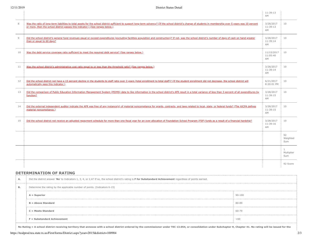|                |                                                                                                                                                                                                                                                                                                  | 11:39:13<br>AM               |                        |
|----------------|--------------------------------------------------------------------------------------------------------------------------------------------------------------------------------------------------------------------------------------------------------------------------------------------------|------------------------------|------------------------|
| 8              | Was the ratio of long-term liabilities to total assets for the school district sufficient to support long-term solvency? (If the school district's change of students in membership over 5 years was 10 percent<br>or more, then the school district passes this indicator.) (See ranges below.) | 3/28/2017<br>11:39:13<br>AM  | 10                     |
| $\overline{9}$ | Did the school district's general fund revenues equal or exceed expenditures (excluding facilities acquisition and construction)? If not, was the school district's number of days of cash on hand greater<br>than or equal to 60 days?                                                          | 3/28/2017<br>11:39:14<br>AM  | 10                     |
| 10             | Was the debt service coverage ratio sufficient to meet the required debt service? (See ranges below.)                                                                                                                                                                                            | 11/15/2017<br>11:05:40<br>AM | 10                     |
| 11             | Was the school district's administrative cost ratio equal to or less than the threshold ratio? (See ranges below.)                                                                                                                                                                               | 3/28/2017<br>11:39:14<br>AM  | 10                     |
| 12             | Did the school district not have a 15 percent decline in the students to staff ratio over 3 years (total enrollment to total staff)? (If the student enrollment did not decrease, the school district will<br>automatically pass this indicator.)                                                | 6/21/2017<br>8:20:01 PM      | 10                     |
| 13             | Did the comparison of Public Education Information Management System (PEIMS) data to like information in the school district's AFR result in a total variance of less than 3 percent of all expenditures by<br>function?                                                                         | 3/28/2017<br>11:39:15<br>AM  | 10                     |
| 14             | Did the external independent auditor indicate the AFR was free of any instance(s) of material noncompliance for grants, contracts, and laws related to local, state, or federal funds? (The AICPA defines<br>material noncompliance.)                                                            | 3/28/2017<br>11:39:15<br>AM  | 10                     |
| 15             | Did the school district not receive an adjusted repayment schedule for more than one fiscal year for an over allocation of Foundation School Program (FSP) funds as a result of a financial hardship?                                                                                            | 3/28/2017<br>11:39:16<br>AM  | 10                     |
|                |                                                                                                                                                                                                                                                                                                  |                              | 92<br>Weighted<br>Sum  |
|                |                                                                                                                                                                                                                                                                                                  |                              | 1<br>Multiplier<br>Sum |
|                |                                                                                                                                                                                                                                                                                                  |                              | 92 Score               |

## **DETERMINATION OF RATING**

| А. | Did the district answer 'No' to Indicators 1, 3, 4, or 2.A? If so, the school district's rating is F for Substandard Achievement regardless of points earned. |        |  |  |  |
|----|---------------------------------------------------------------------------------------------------------------------------------------------------------------|--------|--|--|--|
| В. | Determine the rating by the applicable number of points. (Indicators 6-15)                                                                                    |        |  |  |  |
|    | $A = Superior$                                                                                                                                                | 90-100 |  |  |  |
|    | $B =$ Above Standard                                                                                                                                          | 80-89  |  |  |  |
|    | $C = Meets$ Standard                                                                                                                                          | 60-79  |  |  |  |
|    | $F = Substandard$ Achievement                                                                                                                                 | < 60   |  |  |  |

No Rating = A school district receiving territory that annexes with a school district ordered by the commissioner under TEC 13.054, or consolidation under Subchapter H, Chapter 41. No rating will be issued for the